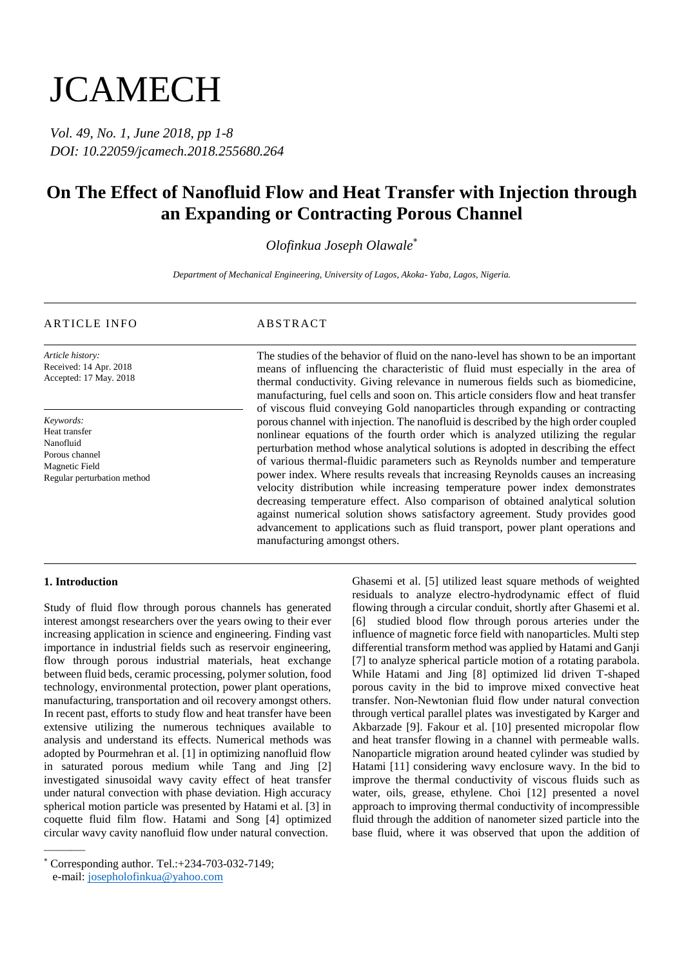# **JCAMECH**

*Vol. 49, No. 1, June 2018, pp 1-8 DOI: 10.22059/jcamech.2018.255680.264*

## **On The Effect of Nanofluid Flow and Heat Transfer with Injection through an Expanding or Contracting Porous Channel**

### *Olofinkua Joseph Olawale*\*

*Department of Mechanical Engineering, University of Lagos, Akoka- Yaba, Lagos, Nigeria.*

#### ARTICLE INFO ABSTRACT

*Article history:* Received: 14 Apr. 2018 Accepted: 17 May. 2018

*Keywords:* Heat transfer Nanofluid Porous channel Magnetic Field Regular perturbation method

The studies of the behavior of fluid on the nano-level has shown to be an important means of influencing the characteristic of fluid must especially in the area of thermal conductivity. Giving relevance in numerous fields such as biomedicine, manufacturing, fuel cells and soon on. This article considers flow and heat transfer of viscous fluid conveying Gold nanoparticles through expanding or contracting porous channel with injection. The nanofluid is described by the high order coupled nonlinear equations of the fourth order which is analyzed utilizing the regular perturbation method whose analytical solutions is adopted in describing the effect of various thermal-fluidic parameters such as Reynolds number and temperature power index. Where results reveals that increasing Reynolds causes an increasing velocity distribution while increasing temperature power index demonstrates decreasing temperature effect. Also comparison of obtained analytical solution against numerical solution shows satisfactory agreement. Study provides good advancement to applications such as fluid transport, power plant operations and manufacturing amongst others.

#### **1. Introduction**

———

Study of fluid flow through porous channels has generated interest amongst researchers over the years owing to their ever increasing application in science and engineering. Finding vast importance in industrial fields such as reservoir engineering, flow through porous industrial materials, heat exchange between fluid beds, ceramic processing, polymer solution, food technology, environmental protection, power plant operations, manufacturing, transportation and oil recovery amongst others. In recent past, efforts to study flow and heat transfer have been extensive utilizing the numerous techniques available to analysis and understand its effects. Numerical methods was adopted by Pourmehran et al. [1] in optimizing nanofluid flow in saturated porous medium while Tang and Jing [2] investigated sinusoidal wavy cavity effect of heat transfer under natural convection with phase deviation. High accuracy spherical motion particle was presented by Hatami et al. [3] in coquette fluid film flow. Hatami and Song [4] optimized circular wavy cavity nanofluid flow under natural convection.

Ghasemi et al. [5] utilized least square methods of weighted residuals to analyze electro-hydrodynamic effect of fluid flowing through a circular conduit, shortly after Ghasemi et al. [6] studied blood flow through porous arteries under the influence of magnetic force field with nanoparticles. Multi step differential transform method was applied by Hatami and Ganji [7] to analyze spherical particle motion of a rotating parabola. While Hatami and Jing [8] optimized lid driven T-shaped porous cavity in the bid to improve mixed convective heat transfer. Non-Newtonian fluid flow under natural convection through vertical parallel plates was investigated by Karger and Akbarzade [9]. Fakour et al. [10] presented micropolar flow and heat transfer flowing in a channel with permeable walls. Nanoparticle migration around heated cylinder was studied by Hatami [11] considering wavy enclosure wavy. In the bid to improve the thermal conductivity of viscous fluids such as water, oils, grease, ethylene. Choi [12] presented a novel approach to improving thermal conductivity of incompressible fluid through the addition of nanometer sized particle into the base fluid, where it was observed that upon the addition of

<sup>\*</sup> Corresponding author. Tel.:+234-703-032-7149; e-mail: josepholofinkua@yahoo.com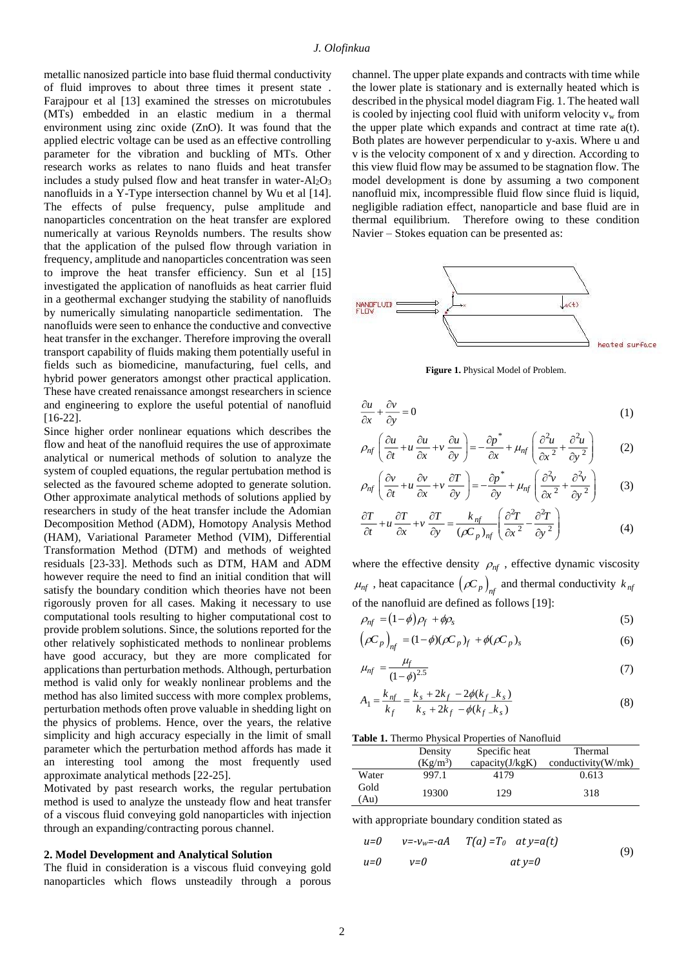metallic nanosized particle into base fluid thermal conductivity of fluid improves to about three times it present state . Farajpour et al [13] examined the stresses on microtubules (MTs) embedded in an elastic medium in a thermal environment using zinc oxide (ZnO). It was found that the applied electric voltage can be used as an effective controlling parameter for the vibration and buckling of MTs. Other research works as relates to nano fluids and heat transfer includes a study pulsed flow and heat transfer in water- $Al_2O_3$ nanofluids in a Y-Type intersection channel by Wu et al [14]. The effects of pulse frequency, pulse amplitude and nanoparticles concentration on the heat transfer are explored numerically at various Reynolds numbers. The results show that the application of the pulsed flow through variation in frequency, amplitude and nanoparticles concentration was seen to improve the heat transfer efficiency. Sun et al [15] investigated the application of nanofluids as heat carrier fluid in a geothermal exchanger studying the stability of nanofluids by numerically simulating nanoparticle sedimentation. The nanofluids were seen to enhance the conductive and convective heat transfer in the exchanger. Therefore improving the overall transport capability of fluids making them potentially useful in fields such as biomedicine, manufacturing, fuel cells, and hybrid power generators amongst other practical application. These have created renaissance amongst researchers in science and engineering to explore the useful potential of nanofluid [16-22].

Since higher order nonlinear equations which describes the flow and heat of the nanofluid requires the use of approximate analytical or numerical methods of solution to analyze the system of coupled equations, the regular pertubation method is selected as the favoured scheme adopted to generate solution. Other approximate analytical methods of solutions applied by researchers in study of the heat transfer include the Adomian Decomposition Method (ADM), Homotopy Analysis Method (HAM), Variational Parameter Method (VIM), Differential Transformation Method (DTM) and methods of weighted residuals [23-33]. Methods such as DTM, HAM and ADM however require the need to find an initial condition that will satisfy the boundary condition which theories have not been rigorously proven for all cases. Making it necessary to use computational tools resulting to higher computational cost to provide problem solutions. Since, the solutions reported for the other relatively sophisticated methods to nonlinear problems have good accuracy, but they are more complicated for applications than perturbation methods. Although, perturbation method is valid only for weakly nonlinear problems and the method has also limited success with more complex problems, perturbation methods often prove valuable in shedding light on the physics of problems. Hence, over the years, the relative simplicity and high accuracy especially in the limit of small parameter which the perturbation method affords has made it an interesting tool among the most frequently used approximate analytical methods [22-25].

Motivated by past research works, the regular pertubation method is used to analyze the unsteady flow and heat transfer of a viscous fluid conveying gold nanoparticles with injection through an expanding/contracting porous channel.

#### **2. Model Development and Analytical Solution**

The fluid in consideration is a viscous fluid conveying gold nanoparticles which flows unsteadily through a porous channel. The upper plate expands and contracts with time while the lower plate is stationary and is externally heated which is described in the physical model diagram Fig. 1. The heated wall is cooled by injecting cool fluid with uniform velocity  $v_w$  from the upper plate which expands and contract at time rate a(t). Both plates are however perpendicular to y-axis. Where u and v is the velocity component of x and y direction. According to this view fluid flow may be assumed to be stagnation flow. The model development is done by assuming a two component nanofluid mix, incompressible fluid flow since fluid is liquid, negligible radiation effect, nanoparticle and base fluid are in thermal equilibrium. Therefore owing to these condition Navier – Stokes equation can be presented as:



**Figure 1.** Physical Model of Problem.

$$
\frac{\partial u}{\partial x} + \frac{\partial v}{\partial y} = 0\tag{1}
$$

$$
\rho_{nf} \left( \frac{\partial u}{\partial t} + u \frac{\partial u}{\partial x} + v \frac{\partial u}{\partial y} \right) = -\frac{\partial p^*}{\partial x} + \mu_{nf} \left( \frac{\partial^2 u}{\partial x^2} + \frac{\partial^2 u}{\partial y^2} \right) \tag{2}
$$

$$
\rho_{nf} \left( \frac{\partial v}{\partial t} + u \frac{\partial v}{\partial x} + v \frac{\partial T}{\partial y} \right) = -\frac{\partial p^*}{\partial y} + \mu_{nf} \left( \frac{\partial^2 v}{\partial x^2} + \frac{\partial^2 v}{\partial y^2} \right) \tag{3}
$$

$$
\frac{\partial T}{\partial t} + u \frac{\partial T}{\partial x} + v \frac{\partial T}{\partial y} = \frac{k_{nf}}{(\rho C_p)_{nf}} \left( \frac{\partial^2 T}{\partial x^2} - \frac{\partial^2 T}{\partial y^2} \right)
$$
(4)

where the effective density  $\rho_{nf}$ , effective dynamic viscosity  $\mu_{nf}$ , heat capacitance  $(\rho C_p)_{nf}$  and thermal conductivity  $k_{nf}$ of the nanofluid are defined as follows [19]:

$$
\rho_{nf} = (1 - \phi)\rho_f + \phi\rho_s \tag{5}
$$

$$
\left(\rho C_p\right)_{nf} = (1 - \phi)(\rho C_p)_f + \phi(\rho C_p)_s \tag{6}
$$

$$
\mu_{nf} = \frac{\mu_f}{(1-\phi)^{2.5}}\tag{7}
$$

$$
A_1 = \frac{k_{nf}}{k_f} = \frac{k_s + 2k_f - 2\phi(k_f - k_s)}{k_s + 2k_f - \phi(k_f - k_s)}
$$
(8)

#### **Table 1.** Thermo Physical Properties of Nanofluid

|              | Density    | Specific heat   | Thermal            |
|--------------|------------|-----------------|--------------------|
|              | $(Kg/m^3)$ | capacity(J/kgK) | conductivity(W/mk) |
| Water        | 997.1      | 4179            | 0.613              |
| Gold<br>(Au) | 19300      | 129             | 318                |

with appropriate boundary condition stated as

$$
u=0 \t v=-v_w=-aA \t T(a)=T_0 \t at y=a(t)
$$
  
\n
$$
u=0 \t v=0 \t at y=0
$$
 (9)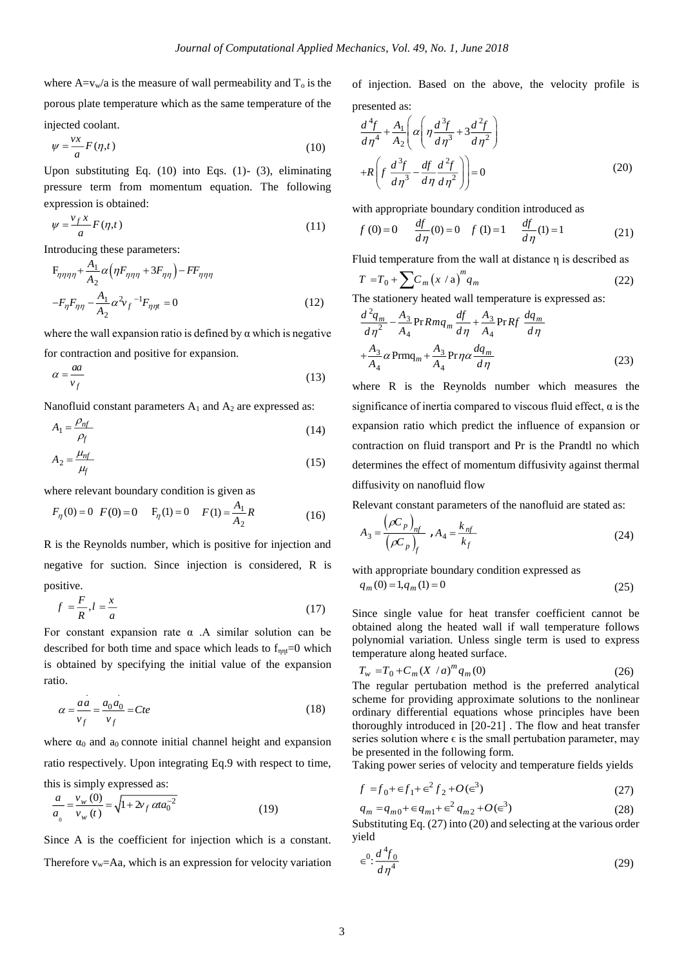where  $A=v_w/a$  is the measure of wall permeability and  $T_0$  is the porous plate temperature which as the same temperature of the injected coolant.

$$
\psi = \frac{\nu x}{a} F(\eta, t) \tag{10}
$$

Upon substituting Eq. (10) into Eqs. (1)- (3), eliminating pressure term from momentum equation. The following expression is obtained:

$$
\psi = \frac{v_f x}{a} F(\eta, t) \tag{11}
$$

Introducing these parameters:

$$
F_{\eta\eta\eta\eta} + \frac{A_1}{A_2} \alpha \left( \eta F_{\eta\eta\eta} + 3F_{\eta\eta} \right) - FF_{\eta\eta\eta}
$$
  

$$
-F_{\eta}F_{\eta\eta} - \frac{A_1}{A_2} \alpha^2 v_f^{-1} F_{\eta\eta\eta} = 0
$$
 (12)

where the wall expansion ratio is defined by  $\alpha$  which is negative for contraction and positive for expansion.

$$
\alpha = \frac{aa}{v_f} \tag{13}
$$

Nanofluid constant parameters  $A_1$  and  $A_2$  are expressed as:

$$
A_1 = \frac{\rho_{nf}}{\rho_f} \tag{14}
$$

$$
A_2 = \frac{\mu_{nf}}{\mu_f} \tag{15}
$$

where relevant boundary condition is given as

$$
F_{\eta}(0) = 0
$$
  $F(0) = 0$   $F_{\eta}(1) = 0$   $F(1) = \frac{A_1}{A_2}R$  (16)

R is the Reynolds number, which is positive for injection and negative for suction. Since injection is considered, R is positive.

$$
f = \frac{F}{R}, l = \frac{x}{a} \tag{17}
$$

For constant expansion rate  $\alpha$ . A similar solution can be described for both time and space which leads to  $f_{\eta n} = 0$  which is obtained by specifying the initial value of the expansion ratio.

$$
\alpha = \frac{aa}{v_f} = \frac{a_0 a_0}{v_f} = Cte
$$
\n(18)

where  $\alpha_0$  and  $a_0$  connote initial channel height and expansion ratio respectively. Upon integrating Eq.9 with respect to time, this is simply expressed as:

$$
\frac{a}{a_o} = \frac{v_w(0)}{v_w(t)} = \sqrt{1 + 2v_f \alpha t a_0^{-2}}
$$
(19)

. .

Since A is the coefficient for injection which is a constant. Therefore  $v_w = Aa$ , which is an expression for velocity variation of injection. Based on the above, the velocity profile is presented as:

$$
\frac{d^4f}{d\eta^4} + \frac{A_1}{A_2} \left( \alpha \left( \eta \frac{d^3f}{d\eta^3} + 3\frac{d^2f}{d\eta^2} \right) + R \left( f \frac{d^3f}{d\eta^3} - \frac{df}{d\eta} \frac{d^2f}{d\eta^2} \right) \right) = 0
$$
\n(20)

with appropriate boundary condition introduced as

$$
f(0)=0
$$
  $\frac{df}{d\eta}(0)=0$   $f(1)=1$   $\frac{df}{d\eta}(1)=1$  (21)

Fluid temperature from the wall at distance η is described as

$$
T = T_0 + \sum C_m (x/a)^m q_m \tag{22}
$$

The stationery heated wall temperature is expressed as:

$$
\frac{d^2q_m}{d\eta^2} - \frac{A_3}{A_4} \text{Pr} Rmq_m \frac{df}{d\eta} + \frac{A_3}{A_4} \text{Pr} Rf \frac{dq_m}{d\eta}
$$

$$
+ \frac{A_3}{A_4} \alpha \text{Prmq}_m + \frac{A_3}{A_4} \text{Pr}\eta \alpha \frac{dq_m}{d\eta}
$$
(23)

where R is the Reynolds number which measures the significance of inertia compared to viscous fluid effect,  $\alpha$  is the expansion ratio which predict the influence of expansion or contraction on fluid transport and Pr is the Prandtl no which determines the effect of momentum diffusivity against thermal diffusivity on nanofluid flow

Relevant constant parameters of the nanofluid are stated as:

$$
A_3 = \frac{\left(\rho C_p\right)_{nf}}{\left(\rho C_p\right)_f}, A_4 = \frac{k_{nf}}{k_f}
$$
\n(24)

with appropriate boundary condition expressed as

$$
q_m(0) = 1, q_m(1) = 0 \tag{25}
$$

Since single value for heat transfer coefficient cannot be obtained along the heated wall if wall temperature follows polynomial variation. Unless single term is used to express temperature along heated surface.

$$
T_w = T_0 + C_m (X/a)^m q_m(0)
$$
 (26)

The regular pertubation method is the preferred analytical scheme for providing approximate solutions to the nonlinear ordinary differential equations whose principles have been thoroughly introduced in [20-21] . The flow and heat transfer series solution where  $\epsilon$  is the small pertubation parameter, may be presented in the following form.

Taking power series of velocity and temperature fields yields

$$
f = f_0 + \epsilon f_1 + \epsilon^2 f_2 + O(\epsilon^3)
$$
 (27)

$$
q_m = q_{m0} + \epsilon q_{m1} + \epsilon^2 q_{m2} + O(\epsilon^3)
$$
 (28)

Substituting Eq. (27) into (20) and selecting at the various order yield

$$
\in^0: \frac{d^4 f_0}{d\eta^4} \tag{29}
$$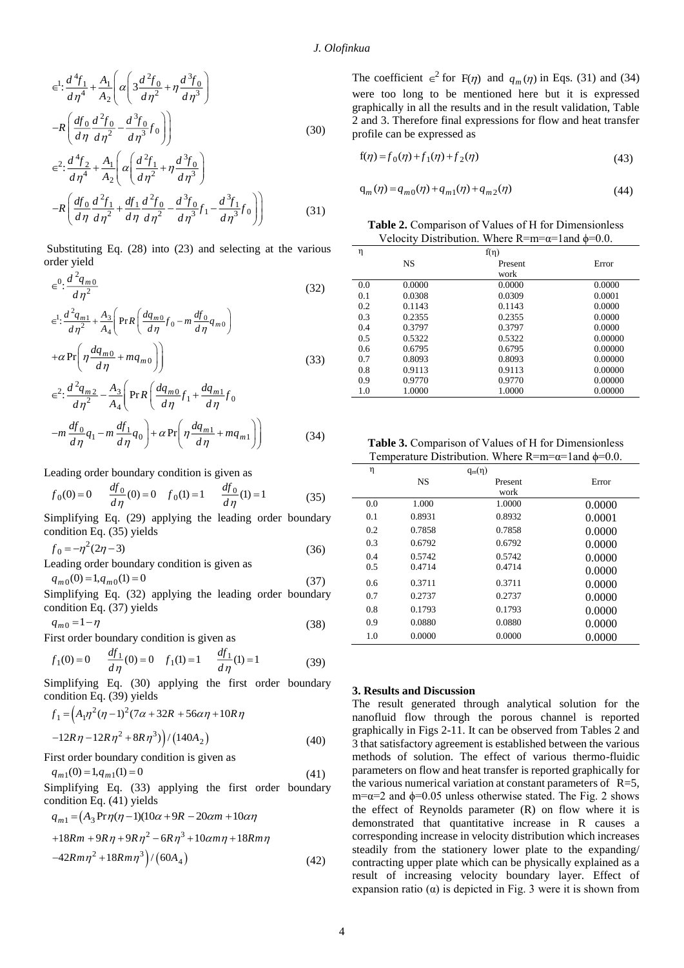$$
\epsilon^{1} \cdot \frac{d^{4} f_{1}}{d \eta^{4}} + \frac{A_{1}}{A_{2}} \left( \alpha \left( 3 \frac{d^{2} f_{0}}{d \eta^{2}} + \eta \frac{d^{3} f_{0}}{d \eta^{3}} \right) - R \left( \frac{df_{0}}{d \eta} \frac{d^{2} f_{0}}{d \eta^{2}} - \frac{d^{3} f_{0}}{d \eta^{3}} f_{0} \right) \right)
$$
\n(30)

$$
\epsilon^2 \cdot \frac{d^4 f_2}{d\eta^4} + \frac{A_1}{A_2} \left( \alpha \left( \frac{d^2 f_1}{d\eta^2} + \eta \frac{d^3 f_0}{d\eta^3} \right) \right)
$$

$$
-R \left( \frac{df_0}{d\eta} \frac{d^2 f_1}{d\eta^2} + \frac{df_1}{d\eta} \frac{d^2 f_0}{d\eta^2} - \frac{d^3 f_0}{d\eta^3} f_1 - \frac{d^3 f_1}{d\eta^3} f_0 \right) \right)
$$
(31)

Substituting Eq. (28) into (23) and selecting at the various order yield

$$
\in^0: \frac{d^2 q_{m0}}{d\eta^2} \tag{32}
$$

$$
\epsilon^{1} : \frac{d^{2}q_{m1}}{d\eta^{2}} + \frac{A_{3}}{A_{4}} \left( \Pr R \left( \frac{dq_{m0}}{d\eta} f_{0} - m \frac{df_{0}}{d\eta} q_{m0} \right) + \alpha \Pr \left( \eta \frac{dq_{m0}}{d\eta} + mq_{m0} \right) \right)
$$
(33)

$$
\epsilon^{2}: \frac{d^{2}q_{m2}}{d\eta^{2}} - \frac{A_{3}}{A_{4}} \left( \Pr R \left( \frac{dq_{m0}}{d\eta} f_{1} + \frac{dq_{m1}}{d\eta} f_{0} \right) - m \frac{df_{0}}{d\eta} q_{1} - m \frac{df_{1}}{d\eta} q_{0} \right) + \alpha \Pr \left( \eta \frac{dq_{m1}}{d\eta} + mq_{m1} \right) \right)
$$
(34)

Leading order boundary condition is given as

$$
f_0(0) = 0 \t \frac{df_0}{d\eta}(0) = 0 \t f_0(1) = 1 \t \frac{df_0}{d\eta}(1) = 1 \t (35)
$$

 Simplifying Eq. (29) applying the leading order boundary condition Eq. (35) yields

 $f_0 = -\eta^2(2\eta - 3)$ (36)

Leading order boundary condition is given as  $q_{m0}(0) = 1, q_{m0}(1) = 0$ (37)

Simplifying Eq. (32) applying the leading order boundary condition Eq. (37) yields

 $q_{m0} = 1 - \eta$ 

First order boundary condition is given as

$$
f_1(0) = 0 \t \frac{df_1}{d\eta}(0) = 0 \t f_1(1) = 1 \t \frac{df_1}{d\eta}(1) = 1 \t (39)
$$

 Simplifying Eq. (30) applying the first order boundary condition Eq. (39) yields

$$
f_1 = (A_1 \eta^2 (\eta - 1)^2 (7\alpha + 32R + 56\alpha \eta + 10R\eta
$$
  
-12R\eta - 12R\eta^2 + 8R\eta^3) / (140A\_2) (40)

First order boundary condition is given as

$$
q_{m1}(0) = 1, q_{m1}(1) = 0 \tag{41}
$$

Simplifying Eq. (33) applying the first order boundary condition Eq. (41) yields

$$
q_{m1} = (A_3 \Pr \eta(\eta - 1)(10\alpha + 9R - 20\alpha m + 10\alpha \eta + 18Rm + 9R\eta + 9R\eta^2 - 6R\eta^3 + 10\alpha m\eta + 18Rm\eta - 42Rm\eta^2 + 18Rm\eta^3)/(60A_4)
$$
(42)

The coefficient  $\epsilon^2$  for  $F(\eta)$  and  $q_m(\eta)$  in Eqs. (31) and (34) were too long to be mentioned here but it is expressed graphically in all the results and in the result validation, Table 2 and 3. Therefore final expressions for flow and heat transfer profile can be expressed as

$$
f(\eta) = f_0(\eta) + f_1(\eta) + f_2(\eta) \tag{43}
$$

$$
q_m(\eta) = q_{m0}(\eta) + q_{m1}(\eta) + q_{m2}(\eta)
$$
\n(44)

**Table 2.** Comparison of Values of Η for Dimensionless Velocity Distribution. Where  $R=m=\alpha=1$  and  $\phi=0.0$ .

| η   |           | $f(\eta)$ |         |
|-----|-----------|-----------|---------|
|     | <b>NS</b> | Present   | Error   |
|     |           | work      |         |
| 0.0 | 0.0000    | 0.0000    | 0.0000  |
| 0.1 | 0.0308    | 0.0309    | 0.0001  |
| 0.2 | 0.1143    | 0.1143    | 0.0000  |
| 0.3 | 0.2355    | 0.2355    | 0.0000  |
| 0.4 | 0.3797    | 0.3797    | 0.0000  |
| 0.5 | 0.5322    | 0.5322    | 0.00000 |
| 0.6 | 0.6795    | 0.6795    | 0.00000 |
| 0.7 | 0.8093    | 0.8093    | 0.00000 |
| 0.8 | 0.9113    | 0.9113    | 0.00000 |
| 0.9 | 0.9770    | 0.9770    | 0.00000 |
| 1.0 | 1.0000    | 1.0000    | 0.00000 |

**Table 3.** Comparison of Values of Η for Dimensionless Temperature Distribution. Where  $R=m=\alpha=1$  and  $\phi=0.0$ .

| η   |           | $q_m(\eta)$ |        |
|-----|-----------|-------------|--------|
|     | <b>NS</b> | Present     | Error  |
|     |           | work        |        |
| 0.0 | 1.000     | 1.0000      | 0.0000 |
| 0.1 | 0.8931    | 0.8932      | 0.0001 |
| 0.2 | 0.7858    | 0.7858      | 0.0000 |
| 0.3 | 0.6792    | 0.6792      | 0.0000 |
| 0.4 | 0.5742    | 0.5742      | 0.0000 |
| 0.5 | 0.4714    | 0.4714      | 0.0000 |
| 0.6 | 0.3711    | 0.3711      | 0.0000 |
| 0.7 | 0.2737    | 0.2737      | 0.0000 |
| 0.8 | 0.1793    | 0.1793      | 0.0000 |
| 0.9 | 0.0880    | 0.0880      | 0.0000 |
| 1.0 | 0.0000    | 0.0000      | 0.0000 |

#### **3. Results and Discussion**

The result generated through analytical solution for the nanofluid flow through the porous channel is reported graphically in Figs 2-11. It can be observed from Tables 2 and 3 that satisfactory agreement is established between the various methods of solution. The effect of various thermo-fluidic parameters on flow and heat transfer is reported graphically for the various numerical variation at constant parameters of  $R=5$ , m= $\alpha$ =2 and  $\phi$ =0.05 unless otherwise stated. The Fig. 2 shows the effect of Reynolds parameter (R) on flow where it is demonstrated that quantitative increase in R causes a corresponding increase in velocity distribution which increases steadily from the stationery lower plate to the expanding/ contracting upper plate which can be physically explained as a result of increasing velocity boundary layer. Effect of expansion ratio  $(\alpha)$  is depicted in Fig. 3 were it is shown from

(38)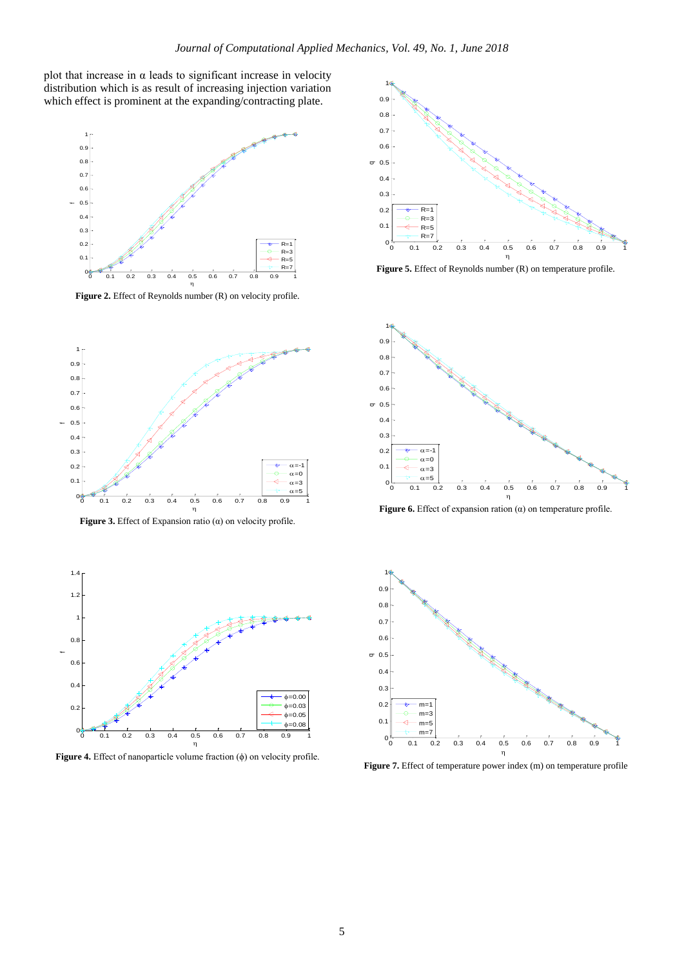plot that increase in  $\alpha$  leads to significant increase in velocity distribution which is as result of increasing injection variation which effect is prominent at the expanding/contracting plate.



**Figure 2.** Effect of Reynolds number (R) on velocity profile.



**Figure 3.** Effect of Expansion ratio (α) on velocity profile.



**Figure 4.** Effect of nanoparticle volume fraction (ϕ) on velocity profile.



**Figure 5.** Effect of Reynolds number (R) on temperature profile.



**Figure 6.** Effect of expansion ration (α) on temperature profile.



**Figure 7.** Effect of temperature power index (m) on temperature profile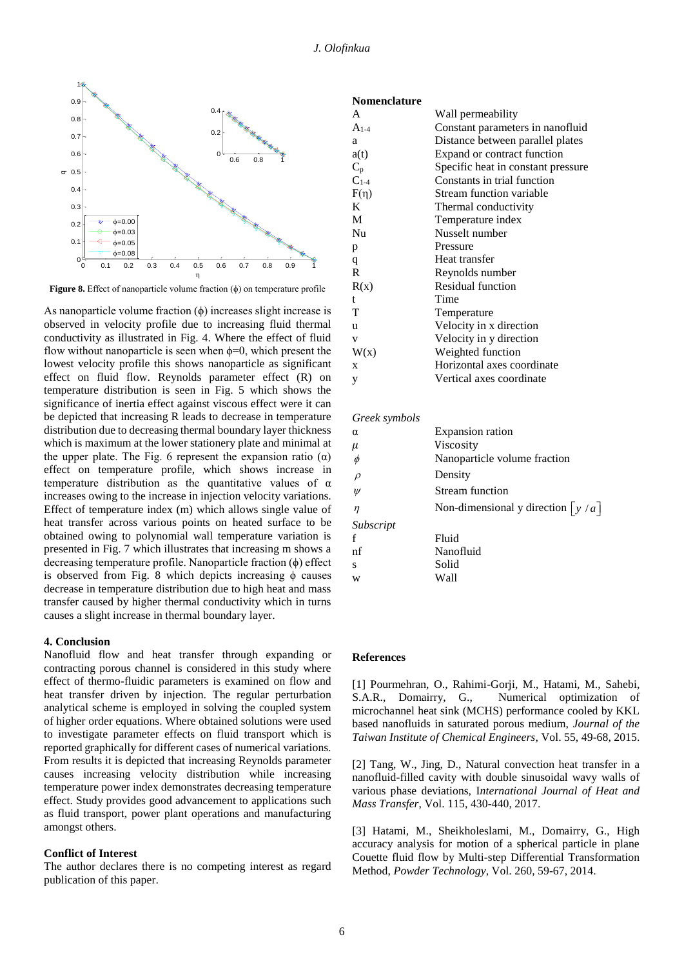**Nomenclature**



**Figure 8.** Effect of nanoparticle volume fraction (ϕ) on temperature profile

As nanoparticle volume fraction  $(\phi)$  increases slight increase is observed in velocity profile due to increasing fluid thermal conductivity as illustrated in Fig. 4. Where the effect of fluid flow without nanoparticle is seen when  $\phi=0$ , which present the lowest velocity profile this shows nanoparticle as significant effect on fluid flow. Reynolds parameter effect (R) on temperature distribution is seen in Fig. 5 which shows the significance of inertia effect against viscous effect were it can be depicted that increasing R leads to decrease in temperature distribution due to decreasing thermal boundary layer thickness which is maximum at the lower stationery plate and minimal at the upper plate. The Fig. 6 represent the expansion ratio  $(\alpha)$ effect on temperature profile, which shows increase in temperature distribution as the quantitative values of  $\alpha$ increases owing to the increase in injection velocity variations. Effect of temperature index (m) which allows single value of heat transfer across various points on heated surface to be obtained owing to polynomial wall temperature variation is presented in Fig. 7 which illustrates that increasing m shows a decreasing temperature profile. Nanoparticle fraction (ϕ) effect is observed from Fig. 8 which depicts increasing  $\phi$  causes decrease in temperature distribution due to high heat and mass transfer caused by higher thermal conductivity which in turns causes a slight increase in thermal boundary layer.

#### **4. Conclusion**

Nanofluid flow and heat transfer through expanding or contracting porous channel is considered in this study where effect of thermo-fluidic parameters is examined on flow and heat transfer driven by injection. The regular perturbation analytical scheme is employed in solving the coupled system of higher order equations. Where obtained solutions were used to investigate parameter effects on fluid transport which is reported graphically for different cases of numerical variations. From results it is depicted that increasing Reynolds parameter causes increasing velocity distribution while increasing temperature power index demonstrates decreasing temperature effect. Study provides good advancement to applications such as fluid transport, power plant operations and manufacturing amongst others.

#### **Conflict of Interest**

The author declares there is no competing interest as regard publication of this paper.

| A         | Wall permeability                  |
|-----------|------------------------------------|
| $A_{1-4}$ | Constant parameters in nanofluid   |
| a         | Distance between parallel plates   |
| a(t)      | Expand or contract function        |
| $C_p$     | Specific heat in constant pressure |
| $C_{1-4}$ | Constants in trial function        |
| $F(\eta)$ | Stream function variable           |
| K         | Thermal conductivity               |
| M         | Temperature index                  |
| Nu        | Nusselt number                     |
| p         | Pressure                           |
| q         | Heat transfer                      |
| R.        | Reynolds number                    |
| R(x)      | Residual function                  |
| t         | Time                               |
| T         | Temperature                        |
| u         | Velocity in x direction            |
| v         | Velocity in y direction            |
| W(x)      | Weighted function                  |
| X         | Horizontal axes coordinate         |
| у         | Vertical axes coordinate           |

#### *Greek symbols*

| α         | <b>Expansion ration</b>             |  |
|-----------|-------------------------------------|--|
| μ         | Viscosity                           |  |
| $\phi$    | Nanoparticle volume fraction        |  |
| $\rho$    | Density                             |  |
| $\psi$    | <b>Stream function</b>              |  |
| $\eta$    | Non-dimensional y direction $ y/a $ |  |
| Subscript |                                     |  |
| f         | Fluid                               |  |
| nf        | Nanofluid                           |  |
| S         | Solid                               |  |
| W         | Wall                                |  |

#### **References**

[1] Pourmehran, O., Rahimi-Gorji, M., Hatami, M., Sahebi, S.A.R., Domairry, G., Numerical optimization of microchannel heat sink (MCHS) performance cooled by KKL based nanofluids in saturated porous medium, *Journal of the Taiwan Institute of Chemical Engineers*, Vol. 55, 49-68, 2015.

[2] Tang, W., Jing, D., Natural convection heat transfer in a nanofluid-filled cavity with double sinusoidal wavy walls of various phase deviations, I*nternational Journal of Heat and Mass Transfer*, Vol. 115, 430-440, 2017.

[3] Hatami, M., Sheikholeslami, M., Domairry, G., High accuracy analysis for motion of a spherical particle in plane Couette fluid flow by Multi-step Differential Transformation Method, *Powder Technology*, Vol. 260, 59-67, 2014.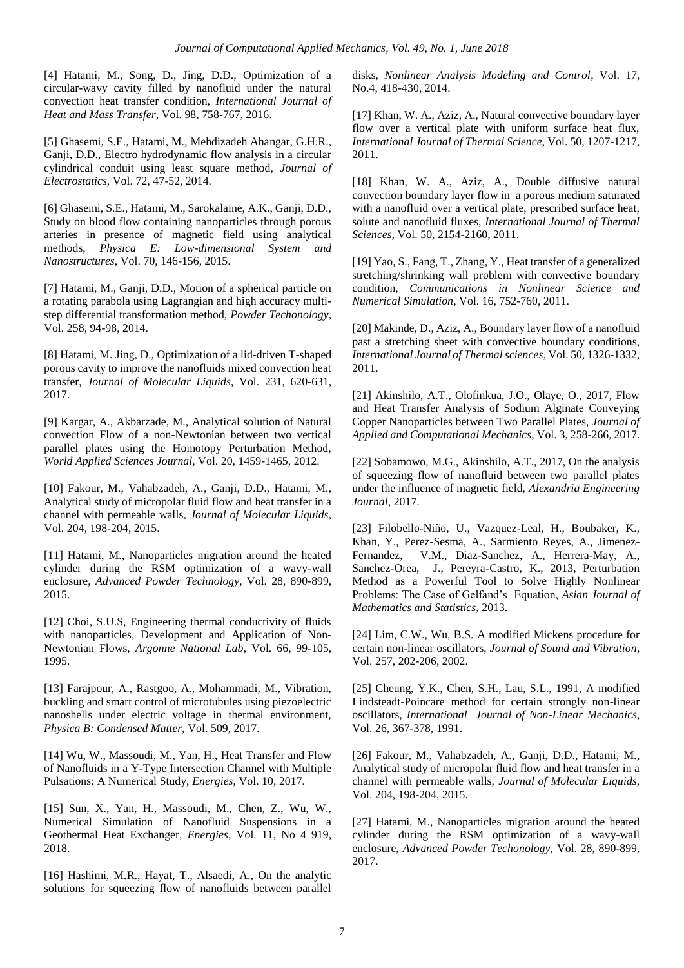[4] Hatami, M., Song, D., Jing, D.D., Optimization of a circular-wavy cavity filled by nanofluid under the natural convection heat transfer condition, *International Journal of Heat and Mass Transfer*, Vol. 98, 758-767, 2016.

[5] Ghasemi, S.E., Hatami, M., Mehdizadeh Ahangar, G.H.R., Ganji, D.D., Electro hydrodynamic flow analysis in a circular cylindrical conduit using least square method, *Journal of Electrostatics*, Vol. 72, 47-52, 2014.

[6] Ghasemi, S.E., Hatami, M., Sarokalaine, A.K., Ganji, D.D., Study on blood flow containing nanoparticles through porous arteries in presence of magnetic field using analytical methods, *Physica E: Low-dimensional System and Nanostructures*, Vol. 70, 146-156, 2015.

[7] Hatami, M., Ganji, D.D., Motion of a spherical particle on a rotating parabola using Lagrangian and high accuracy multistep differential transformation method, *Powder Techonology*, Vol. 258, 94-98, 2014.

[8] Hatami, M. Jing, D., Optimization of a lid-driven T-shaped porous cavity to improve the nanofluids mixed convection heat transfer, *Journal of Molecular Liquids*, Vol. 231, 620-631, 2017.

[9] Kargar, A., Akbarzade, M., Analytical solution of Natural convection Flow of a non-Newtonian between two vertical parallel plates using the Homotopy Perturbation Method, *World Applied Sciences Journal*, Vol. 20, 1459-1465, 2012.

[10] Fakour, M., Vahabzadeh, A., Ganji, D.D., Hatami, M., Analytical study of micropolar fluid flow and heat transfer in a channel with permeable walls, *Journal of Molecular Liquids*, Vol. 204, 198-204, 2015.

[11] Hatami, M., Nanoparticles migration around the heated cylinder during the RSM optimization of a wavy-wall enclosure, *Advanced Powder Technology*, Vol. 28, 890-899, 2015.

[12] Choi, S.U.S, Engineering thermal conductivity of fluids with nanoparticles, Development and Application of Non-Newtonian Flows, *Argonne National Lab*, Vol. 66, 99-105, 1995.

[13] Farajpour, A., Rastgoo, A., Mohammadi, M., Vibration, buckling and smart control of microtubules using piezoelectric nanoshells under electric voltage in thermal environment, *Physica B: Condensed Matter*, Vol. 509, 2017.

[14] Wu, W., Massoudi, M., Yan, H., Heat Transfer and Flow of Nanofluids in a Y-Type Intersection Channel with Multiple Pulsations: A Numerical Study, *Energies*, Vol. 10, 2017.

[15] Sun, X., Yan, H., Massoudi, M., Chen, Z., Wu, W., Numerical Simulation of Nanofluid Suspensions in a Geothermal Heat Exchanger, *Energies*, Vol. 11, No 4 919, 2018.

[16] Hashimi, M.R., Hayat, T., Alsaedi, A., On the analytic solutions for squeezing flow of nanofluids between parallel

disks, *Nonlinear Analysis Modeling and Control*, Vol. 17, No.4, 418-430, 2014.

[17] Khan, W. A., Aziz, A., Natural convective boundary layer flow over a vertical plate with uniform surface heat flux, *International Journal of Thermal Science*, Vol. 50, 1207-1217, 2011.

[18] Khan, W. A., Aziz, A., Double diffusive natural convection boundary layer flow in a porous medium saturated with a nanofluid over a vertical plate, prescribed surface heat, solute and nanofluid fluxes, *International Journal of Thermal Sciences*, Vol. 50, 2154-2160, 2011.

[19] Yao, S., Fang, T., Zhang, Y., Heat transfer of a generalized stretching/shrinking wall problem with convective boundary condition, *Communications in Nonlinear Science and Numerical Simulation*, Vol. 16, 752-760, 2011.

[20] Makinde, D., Aziz, A., Boundary layer flow of a nanofluid past a stretching sheet with convective boundary conditions, *International Journal of Thermal sciences*, Vol. 50, 1326-1332, 2011.

[21] Akinshilo, A.T., Olofinkua, J.O., Olaye, O., 2017, Flow and Heat Transfer Analysis of Sodium Alginate Conveying Copper Nanoparticles between Two Parallel Plates, *Journal of Applied and Computational Mechanics*, Vol. 3, 258-266, 2017.

[22] Sobamowo, M.G., Akinshilo, A.T., 2017, On the analysis of squeezing flow of nanofluid between two parallel plates under the influence of magnetic field, *Alexandria Engineering Journal*, 2017.

[23] Filobello-Niño, U., Vazquez-Leal, H., Boubaker, K., Khan, Y., Perez-Sesma, A., Sarmiento Reyes, A., Jimenez-Fernandez, V.M., Diaz-Sanchez, A., Herrera-May, A., Sanchez-Orea, J., Pereyra-Castro, K., 2013, Perturbation Method as a Powerful Tool to Solve Highly Nonlinear Problems: The Case of Gelfand's Equation, *Asian Journal of Mathematics and Statistics*, 2013.

[24] Lim, C.W., Wu, B.S. A modified Mickens procedure for certain non-linear oscillators, *Journal of Sound and Vibration*, Vol. 257, 202-206, 2002.

[25] Cheung, Y.K., Chen, S.H., Lau, S.L., 1991, A modified Lindsteadt-Poincare method for certain strongly non-linear oscillators, *International Journal of Non-Linear Mechanics*, Vol. 26, 367-378, 1991.

[26] Fakour, M., Vahabzadeh, A., Ganji, D.D., Hatami, M., Analytical study of micropolar fluid flow and heat transfer in a channel with permeable walls, *Journal of Molecular Liquids*, Vol. 204, 198-204, 2015.

[27] Hatami, M., Nanoparticles migration around the heated cylinder during the RSM optimization of a wavy-wall enclosure, *Advanced Powder Techonology*, Vol. 28, 890-899, 2017.